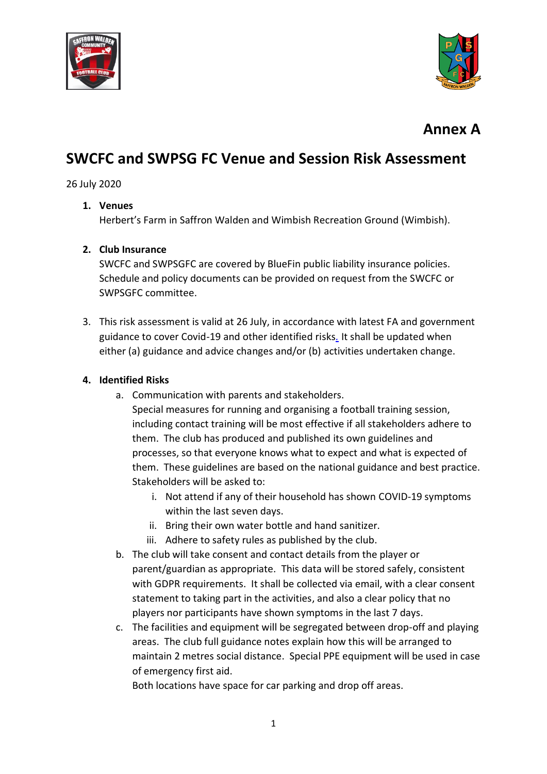



## **Annex A**

# **SWCFC and SWPSG FC Venue and Session Risk Assessment**

### 26 July 2020

#### **1. Venues**

Herbert's Farm in Saffron Walden and Wimbish Recreation Ground (Wimbish).

#### **2. Club Insurance**

SWCFC and SWPSGFC are covered by BlueFin public liability insurance policies. Schedule and policy documents can be provided on request from the SWCFC or SWPSGFC committee.

3. This risk assessment is valid at 26 July, in accordance with latest FA and government guidance to cover Covid-19 and other identified risks*.* It shall be updated when either (a) guidance and advice changes and/or (b) activities undertaken change.

#### **4. Identified Risks**

- a. Communication with parents and stakeholders.
	- Special measures for running and organising a football training session, including contact training will be most effective if all stakeholders adhere to them. The club has produced and published its own guidelines and processes, so that everyone knows what to expect and what is expected of them. These guidelines are based on the national guidance and best practice. Stakeholders will be asked to:
		- i. Not attend if any of their household has shown COVID-19 symptoms within the last seven days.
		- ii. Bring their own water bottle and hand sanitizer.
		- iii. Adhere to safety rules as published by the club.
- b. The club will take consent and contact details from the player or parent/guardian as appropriate. This data will be stored safely, consistent with GDPR requirements. It shall be collected via email, with a clear consent statement to taking part in the activities, and also a clear policy that no players nor participants have shown symptoms in the last 7 days.
- c. The facilities and equipment will be segregated between drop-off and playing areas. The club full guidance notes explain how this will be arranged to maintain 2 metres social distance. Special PPE equipment will be used in case of emergency first aid.

Both locations have space for car parking and drop off areas.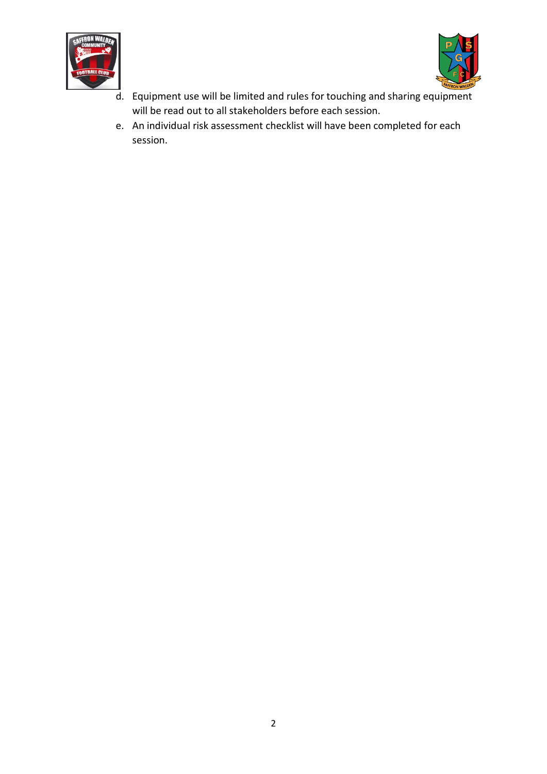



- d. Equipment use will be limited and rules for touching and sharing equipment will be read out to all stakeholders before each session.
- e. An individual risk assessment checklist will have been completed for each session.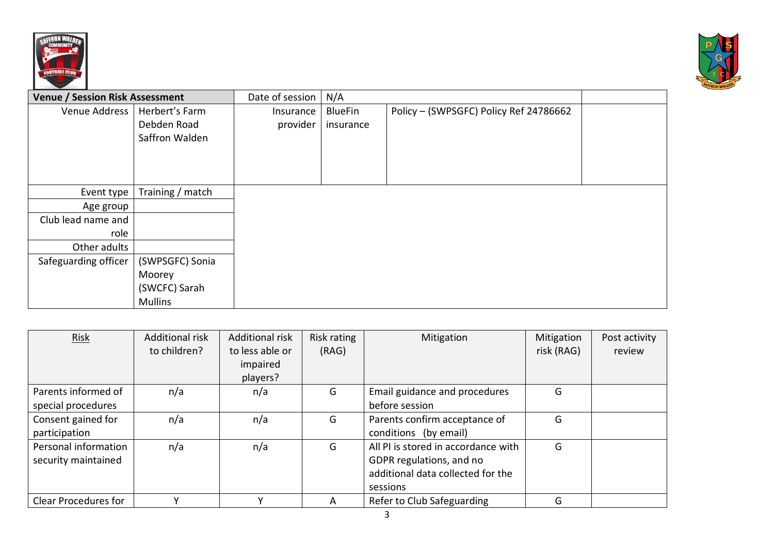



| <b>Venue / Session Risk Assessment</b> |                  | Date of session | N/A            |                                        |  |
|----------------------------------------|------------------|-----------------|----------------|----------------------------------------|--|
| Venue Address                          | Herbert's Farm   | Insurance       | <b>BlueFin</b> | Policy - (SWPSGFC) Policy Ref 24786662 |  |
|                                        | Debden Road      | provider        | insurance      |                                        |  |
|                                        | Saffron Walden   |                 |                |                                        |  |
|                                        |                  |                 |                |                                        |  |
|                                        |                  |                 |                |                                        |  |
| Event type                             | Training / match |                 |                |                                        |  |
| Age group                              |                  |                 |                |                                        |  |
| Club lead name and                     |                  |                 |                |                                        |  |
| role                                   |                  |                 |                |                                        |  |
| Other adults                           |                  |                 |                |                                        |  |
| Safeguarding officer                   | (SWPSGFC) Sonia  |                 |                |                                        |  |
|                                        | Moorey           |                 |                |                                        |  |
|                                        | (SWCFC) Sarah    |                 |                |                                        |  |
|                                        | <b>Mullins</b>   |                 |                |                                        |  |

| Risk                        | <b>Additional risk</b> | <b>Additional risk</b> | Risk rating | Mitigation                          | Mitigation | Post activity |
|-----------------------------|------------------------|------------------------|-------------|-------------------------------------|------------|---------------|
|                             | to children?           | to less able or        | (RAG)       |                                     | risk (RAG) | review        |
|                             |                        | impaired               |             |                                     |            |               |
|                             |                        | players?               |             |                                     |            |               |
| Parents informed of         | n/a                    | n/a                    | G           | Email guidance and procedures       | G          |               |
| special procedures          |                        |                        |             | before session                      |            |               |
| Consent gained for          | n/a                    | n/a                    | G           | Parents confirm acceptance of       | G          |               |
| participation               |                        |                        |             | conditions (by email)               |            |               |
| Personal information        | n/a                    | n/a                    | G           | All PI is stored in accordance with | G          |               |
| security maintained         |                        |                        |             | GDPR regulations, and no            |            |               |
|                             |                        |                        |             | additional data collected for the   |            |               |
|                             |                        |                        |             | sessions                            |            |               |
| <b>Clear Procedures for</b> |                        |                        | A           | Refer to Club Safeguarding          | G          |               |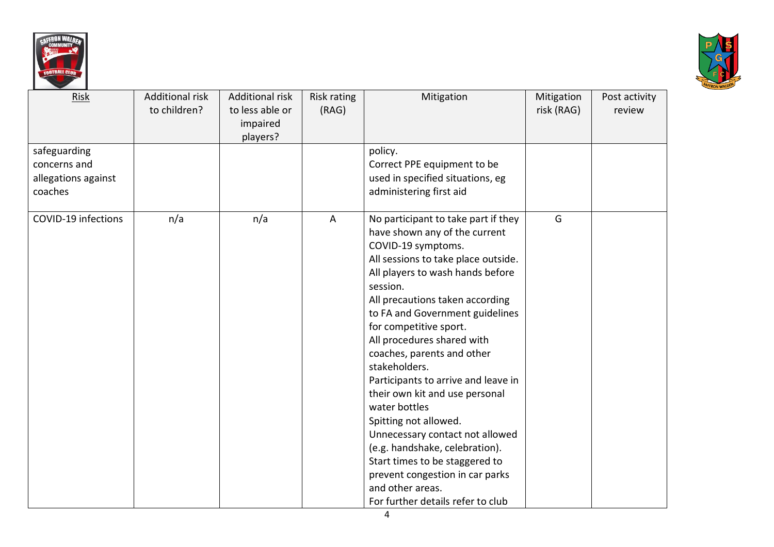



| Risk                                                           | <b>Additional risk</b><br>to children? | <b>Additional risk</b><br>to less able or<br>impaired<br>players? | Risk rating<br>(RAG) | Mitigation                                                                                                                                                                                                                                                                                                                                                                                                                                                                                                                                                                                                                                                                           | Mitigation<br>risk (RAG) | Post activity<br>review |
|----------------------------------------------------------------|----------------------------------------|-------------------------------------------------------------------|----------------------|--------------------------------------------------------------------------------------------------------------------------------------------------------------------------------------------------------------------------------------------------------------------------------------------------------------------------------------------------------------------------------------------------------------------------------------------------------------------------------------------------------------------------------------------------------------------------------------------------------------------------------------------------------------------------------------|--------------------------|-------------------------|
| safeguarding<br>concerns and<br>allegations against<br>coaches |                                        |                                                                   |                      | policy.<br>Correct PPE equipment to be<br>used in specified situations, eg<br>administering first aid                                                                                                                                                                                                                                                                                                                                                                                                                                                                                                                                                                                |                          |                         |
| COVID-19 infections                                            | n/a                                    | n/a                                                               | A                    | No participant to take part if they<br>have shown any of the current<br>COVID-19 symptoms.<br>All sessions to take place outside.<br>All players to wash hands before<br>session.<br>All precautions taken according<br>to FA and Government guidelines<br>for competitive sport.<br>All procedures shared with<br>coaches, parents and other<br>stakeholders.<br>Participants to arrive and leave in<br>their own kit and use personal<br>water bottles<br>Spitting not allowed.<br>Unnecessary contact not allowed<br>(e.g. handshake, celebration).<br>Start times to be staggered to<br>prevent congestion in car parks<br>and other areas.<br>For further details refer to club | G                        |                         |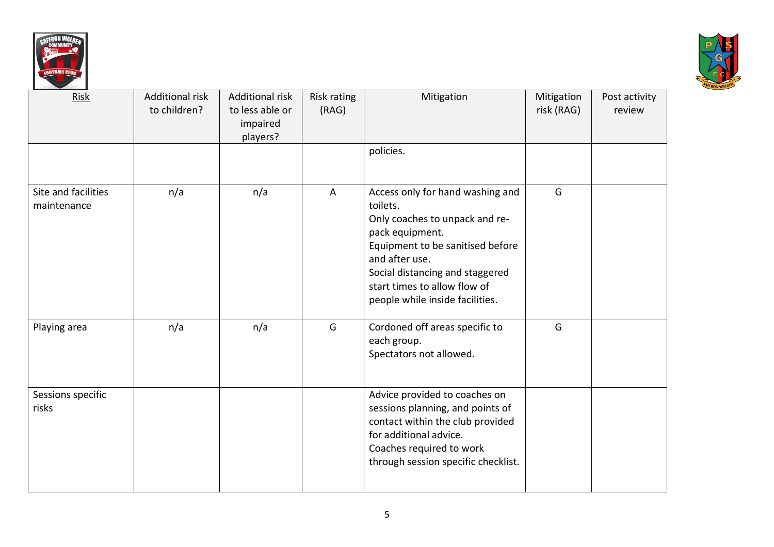



| Risk                               | <b>Additional risk</b><br>to children? | <b>Additional risk</b><br>to less able or<br>impaired<br>players? | Risk rating<br>(RAG) | Mitigation<br>policies.                                                                                                                                                                                                                                       | Mitigation<br>risk (RAG) | Post activity<br>review |
|------------------------------------|----------------------------------------|-------------------------------------------------------------------|----------------------|---------------------------------------------------------------------------------------------------------------------------------------------------------------------------------------------------------------------------------------------------------------|--------------------------|-------------------------|
| Site and facilities<br>maintenance | n/a                                    | n/a                                                               | A                    | Access only for hand washing and<br>toilets.<br>Only coaches to unpack and re-<br>pack equipment.<br>Equipment to be sanitised before<br>and after use.<br>Social distancing and staggered<br>start times to allow flow of<br>people while inside facilities. | G                        |                         |
| Playing area                       | n/a                                    | n/a                                                               | G                    | Cordoned off areas specific to<br>each group.<br>Spectators not allowed.                                                                                                                                                                                      | G                        |                         |
| Sessions specific<br>risks         |                                        |                                                                   |                      | Advice provided to coaches on<br>sessions planning, and points of<br>contact within the club provided<br>for additional advice.<br>Coaches required to work<br>through session specific checklist.                                                            |                          |                         |